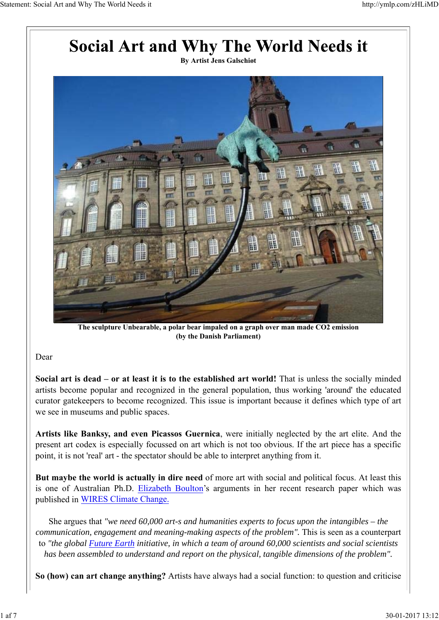

**The sculpture Unbearable, a polar bear impaled on a graph over man made CO2 emission (by the Danish Parliament)**

## Dear

**Social art is dead – or at least it is to the established art world!** That is unless the socially minded artists become popular and recognized in the general population, thus working 'around' the educated curator gatekeepers to become recognized. This issue is important because it defines which type of art we see in museums and public spaces.

**Artists like Banksy, and even Picassos Guernica**, were initially neglected by the art elite. And the present art codex is especially focussed on art which is not too obvious. If the art piece has a specific point, it is not 'real' art - the spectator should be able to interpret anything from it.

**But maybe the world is actually in dire need** of more art with social and political focus. At least this is one of Australian Ph.D. Elizabeth Boulton's arguments in her recent research paper which was published in WIRES Climate Change.

She argues that *"we need 60,000 art-s and humanities experts to focus upon the intangibles – the communication, engagement and meaning-making aspects of the problem".* This is seen as a counterpart to *"the global Future Earth initiative, in which a team of around 60,000 scientists and social scientists has been assembled to understand and report on the physical, tangible dimensions of the problem".*

**So (how) can art change anything?** Artists have always had a social function: to question and criticise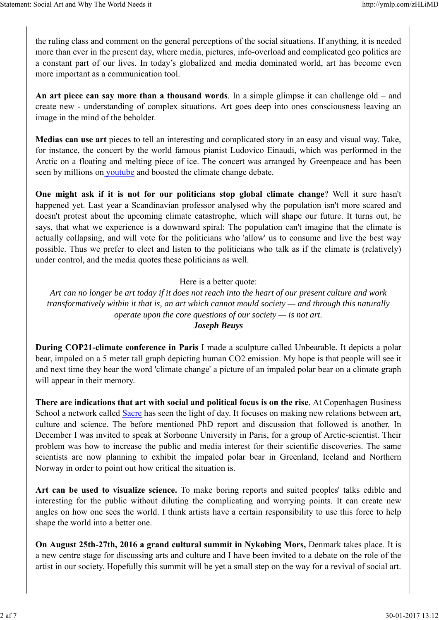the ruling class and comment on the general perceptions of the social situations. If anything, it is needed more than ever in the present day, where media, pictures, info-overload and complicated geo politics are a constant part of our lives. In today's globalized and media dominated world, art has become even more important as a communication tool.

**An art piece can say more than a thousand words**. In a simple glimpse it can challenge old – and create new - understanding of complex situations. Art goes deep into ones consciousness leaving an image in the mind of the beholder.

**Medias can use art** pieces to tell an interesting and complicated story in an easy and visual way. Take, for instance, the concert by the world famous pianist Ludovico Einaudi, which was performed in the Arctic on a floating and melting piece of ice. The concert was arranged by Greenpeace and has been seen by millions on youtube and boosted the climate change debate.

**One might ask if it is not for our politicians stop global climate change**? Well it sure hasn't happened yet. Last year a Scandinavian professor analysed why the population isn't more scared and doesn't protest about the upcoming climate catastrophe, which will shape our future. It turns out, he says, that what we experience is a downward spiral: The population can't imagine that the climate is actually collapsing, and will vote for the politicians who 'allow' us to consume and live the best way possible. Thus we prefer to elect and listen to the politicians who talk as if the climate is (relatively) under control, and the media quotes these politicians as well.

#### Here is a better quote:

*Art can no longer be art today if it does not reach into the heart of our present culture and work transformatively within it that is, an art which cannot mould society — and through this naturally operate upon the core questions of our society — is not art. Joseph Beuys*

**During COP21-climate conference in Paris** I made a sculpture called Unbearable. It depicts a polar bear, impaled on a 5 meter tall graph depicting human CO2 emission. My hope is that people will see it and next time they hear the word 'climate change' a picture of an impaled polar bear on a climate graph will appear in their memory.

**There are indications that art with social and political focus is on the rise**. At Copenhagen Business School a network called Sacre has seen the light of day. It focuses on making new relations between art, culture and science. The before mentioned PhD report and discussion that followed is another. In December I was invited to speak at Sorbonne University in Paris, for a group of Arctic-scientist. Their problem was how to increase the public and media interest for their scientific discoveries. The same scientists are now planning to exhibit the impaled polar bear in Greenland, Iceland and Northern Norway in order to point out how critical the situation is.

**Art can be used to visualize science.** To make boring reports and suited peoples' talks edible and interesting for the public without diluting the complicating and worrying points. It can create new angles on how one sees the world. I think artists have a certain responsibility to use this force to help shape the world into a better one.

**On August 25th-27th, 2016 a grand cultural summit in Nykøbing Mors,** Denmark takes place. It is a new centre stage for discussing arts and culture and I have been invited to a debate on the role of the artist in our society. Hopefully this summit will be yet a small step on the way for a revival of social art.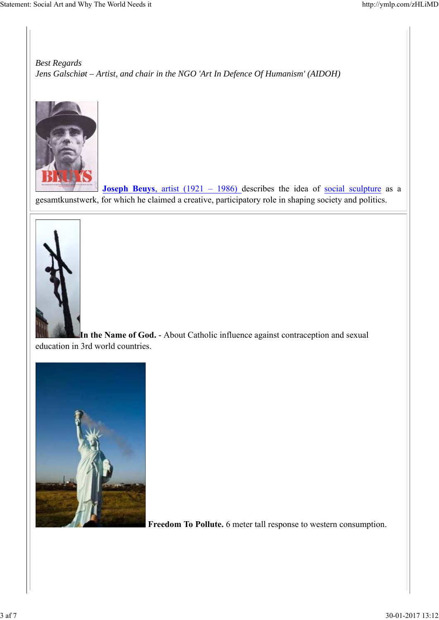*Best Regards Jens Galschiøt – Artist, and chair in the NGO 'Art In Defence Of Humanism' (AIDOH)*



**Joseph Beuys**, artist (1921 – 1986) describes the idea of social sculpture as a gesamtkunstwerk, for which he claimed a creative, participatory role in shaping society and politics.



**In the Name of God.** - About Catholic influence against contraception and sexual education in 3rd world countries.



 **Freedom To Pollute.** 6 meter tall response to western consumption.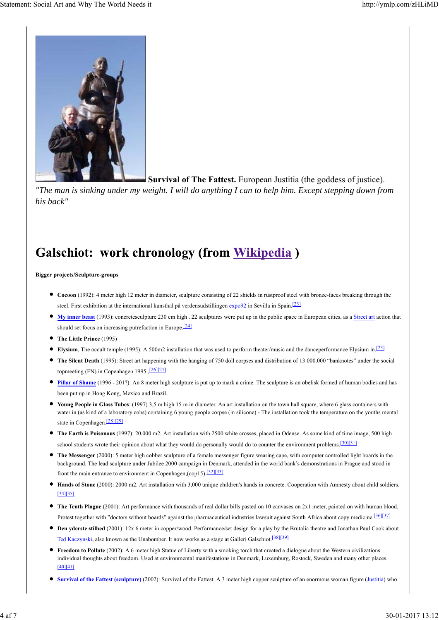

**Survival of The Fattest.** European Justitia (the goddess of justice).

*"The man is sinking under my weight. I will do anything I can to help him. Except stepping down from his back"*

# **Galschiot: work chronology (from Wikipedia)**

**Bigger projects/Sculpture-groups**

- **Cocoon** (1992): 4 meter high 12 meter in diameter, sculpture consisting of 22 shields in rustproof steel with bronze-faces breaking through the steel. First exhibition at the international kunsthal på verdensudstillingen expo92 in Sevilla in Spain.<sup>[23]</sup>
- My inner beast (1993): concretesculpture 230 cm high . 22 sculptures were put up in the public space in European cities, as a Street art action that should set focus on increasing putrefaction in Europe.<sup>[24]</sup>
- **The Little Prince** (1995)
- **Elysium**, The occult temple (1995): A 500m2 installation that was used to perform theater/music and the danceperformance Elysium in.<sup>[25]</sup>
- **The Silent Death** (1995): Street art happening with the hanging of 750 doll corpses and distribution of 13.000.000 "banknotes" under the social topmeeting (FN) in Copenhagen 1995.,<sup>[26][27]</sup>
- **Pillar of Shame** (1996 201?): An 8 meter high sculpture is put up to mark a crime. The sculpture is an obelisk formed of human bodies and has been put up in Hong Kong, Mexico and Brazil.
- **Young People in Glass Tubes**: (1997) 3,5 m high 15 m in diameter. An art installation on the town hall square, where 6 glass containers with water in (as kind of a laboratory cobs) containing 6 young people corpse (in silicone) - The installation took the temperature on the youths mental state in Copenhagen.[28][29]
- **The Earth is Poisonous** (1997): 20.000 m2. Art installation with 2500 white crosses, placed in Odense. As some kind of time image, 500 high school students wrote their opinion about what they would do personally would do to counter the environment problems.<sup>[30][31]</sup>
- **The Messenger** (2000): 5 meter high cobber sculpture of a female messenger figure wearing cape, with computer controlled light boards in the background. The lead sculpture under Jubilee 2000 campaign in Denmark, attended in the world bank's demonstrations in Prague and stood in front the main entrance to environment in Copenhagen,(cop15).[32][33]
- **Hands of Stone** (2000): 2000 m2. Art installation with 3,000 unique children's hands in concrete. Cooperation with Amnesty about child soldiers. [34][35]
- **The Tenth Plague** (2001): Art performance with thousands of real dollar bills pasted on 10 canvases on 2x1 meter, painted on with human blood. Protest together with "doctors without boards" against the pharmaceutical industries lawsuit against South Africa about copy medicine.<sup>[36][37]</sup>
- **Den yderste stilhed** (2001): 12x 6 meter in copper/wood. Performance/set design for a play by the Brutalia theatre and Jonathan Paul Cook about Ted Kaczynski, also known as the Unabomber. It now works as a stage at Galleri Galschiot.<sup>[38][39]</sup>
- **Freedom to Pollute** (2002): A 6 meter high Statue of Liberty with a smoking torch that created a dialogue about the Western civilizations individual thoughts about freedom. Used at environmental manifestations in Denmark, Luxemburg, Rostock, Sweden and many other places. [40][41]
- **Survival of the Fattest (sculpture)** (2002): Survival of the Fattest. A 3 meter high copper sculpture of an enormous woman figure (Justitia) who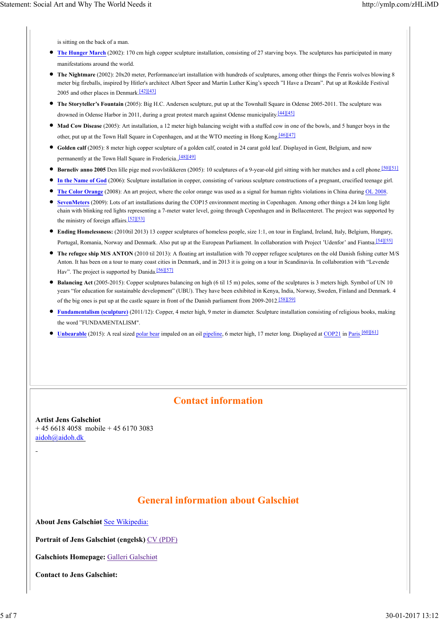is sitting on the back of a man.

- **The Hunger March** (2002): 170 cm high copper sculpture installation, consisting of 27 starving boys. The sculptures has participated in many manifestations around the world.
- **The Nightmare** (2002): 20x20 meter, Performance/art installation with hundreds of sculptures, among other things the Fenris wolves blowing 8 meter big fireballs, inspired by Hitler's architect Albert Speer and Martin Luther King's speech "I Have a Dream". Put up at Roskilde Festival 2005 and other places in Denmark.[42][43]
- **The Storyteller's Fountain** (2005): Big H.C. Andersen sculpture, put up at the Townhall Square in Odense 2005-2011. The sculpture was drowned in Odense Harbor in 2011, during a great protest march against Odense municipality.<sup>[44][45]</sup>
- **Mad Cow Disease** (2005): Art installation, a 12 meter high balancing weight with a stuffed cow in one of the bowls, and 5 hunger boys in the other, put up at the Town Hall Square in Copenhagen, and at the WTO meeting in Hong Kong.<sup>[46][47]</sup>
- **Golden calf** (2005): 8 meter high copper sculpture of a golden calf, coated in 24 carat gold leaf. Displayed in Gent, Belgium, and now permanently at the Town Hall Square in Fredericia., [48][49]
- **Børneliv anno 2005** Den lille pige med svovlstikkeren (2005): 10 sculptures of a 9-year-old girl sitting with her matches and a cell phone.[50][51]
- **In the Name of God** (2006): Sculpture installation in copper, consisting of various sculpture constructions of a pregnant, crucified teenage girl.
- **The Color Orange** (2008): An art project, where the color orange was used as a signal for human rights violations in China during OL 2008.
- **SevenMeters** (2009): Lots of art installations during the COP15 environment meeting in Copenhagen. Among other things a 24 km long light chain with blinking red lights representing a 7-meter water level, going through Copenhagen and in Bellacenteret. The project was supported by the ministry of foreign affairs.[52][53]
- **Ending Homelessness:** (2010til 2013) 13 copper sculptures of homeless people, size 1:1, on tour in England, Ireland, Italy, Belgium, Hungary, Portugal, Romania, Norway and Denmark. Also put up at the European Parliament. In collaboration with Project 'Udenfor' and Fiantsa.<sup>[54][55]</sup>
- The refugee ship M/S ANTON (2010 til 2013): A floating art installation with 70 copper refugee sculptures on the old Danish fishing cutter M/S Anton. It has been on a tour to many coast cities in Denmark, and in 2013 it is going on a tour in Scandinavia. In collaboration with "Levende Hav". The project is supported by Danida.<sup>[56][57]</sup>
- **Balancing Act** (2005-2015): Copper sculptures balancing on high (6 til 15 m) poles, some of the sculptures is 3 meters high. Symbol of UN 10 years "for education for sustainable development" (UBU). They have been exhibited in Kenya, India, Norway, Sweden, Finland and Denmark. 4 of the big ones is put up at the castle square in front of the Danish parliament from 2009-2012.<sup>[58][59]</sup>
- **Fundamentalism (sculpture)** (2011/12): Copper, 4 meter high, 9 meter in diameter. Sculpture installation consisting of religious books, making the word "FUNDAMENTALISM".
- Unbearable (2015): A real sized polar bear impaled on an oil pipeline, 6 meter high, 17 meter long. Displayed at COP21 in Paris.<sup>[60][61]</sup>

## **Contact information**

**Artist Jens Galschiot**  $+ 4566184058$  mobile  $+ 4561703083$ aidoh@aidoh.dk

## **General information about Galschiøt**

**About Jens Galschiøt** See Wikipedia:

**Portrait of Jens Galschiøt (engelsk)** CV (PDF)

**Galschiots Homepage:** Galleri Galschiøt

**Contact to Jens Galschiøt:**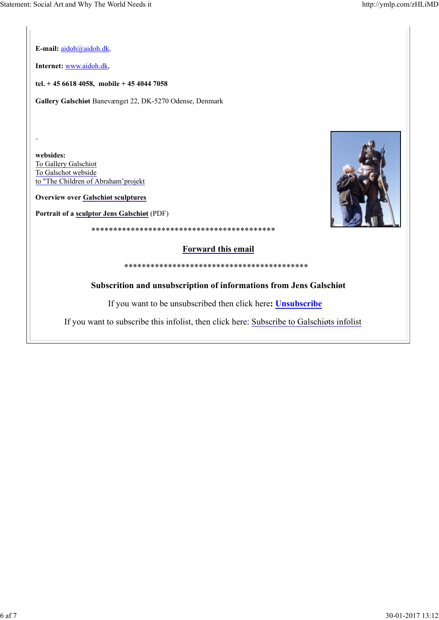**E-mail:** aidoh@aidoh.dk,

**Internet:** www.aidoh.dk,

**tel. + 45 6618 4058, mobile + 45 4044 7058**

**Gallery Galschiøt** Banevænget 22, DK-5270 Odense, Denmark

**websides:** To Gallery Galschiot To Galschot webside to "The Children of Abraham'projekt

**Overview over Galschiøt sculptures**

**Portrait of a sculptor Jens Galschiøt** (PDF)



### **Forward this email**

\*\*\*\*\*\*\*\*\*\*\*\*\*\*\*\*\*\*\*\*\*\*\*\*\*\*\*\*\*\*\*\*\*\*\*\*\*\*\*\*\*\*

\*\*\*\*\*\*\*\*\*\*\*\*\*\*\*\*\*\*\*\*\*\*\*\*\*\*\*\*\*\*\*\*\*\*\*\*\*\*\*\*\*\*

#### **Subscrition and unsubscription of informations from Jens Galschiøt**

If you want to be unsubscribed then click here**: Unsubscribe**

If you want to subscribe this infolist, then click here: Subscribe to Galschiøts infolist